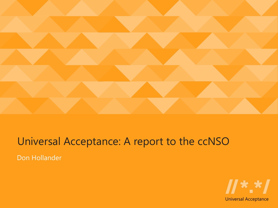

#### Don Hollander Universal Acceptance: A report to the ccNSO

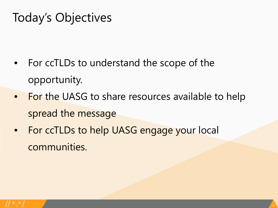### Today's Objectives

- For ccTLDs to understand the scope of the opportunity.
- For the UASG to share resources available to help spread the message
- For ccTLDs to help UASG engage your local communities.

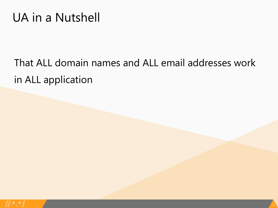#### UA in a Nutshell

## That ALL domain names and ALL email addresses work in ALL application

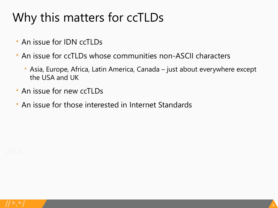# Why this matters for ccTLDs

- \* An issue for IDN ccTLDs
- \* An issue for ccTLDs whose communities non-ASCII characters
	- \* Asia, Europe, Africa, Latin America, Canada just about everywhere except the USA and UK
- \* An issue for new ccTLDs
- \* An issue for those interested in Internet Standards



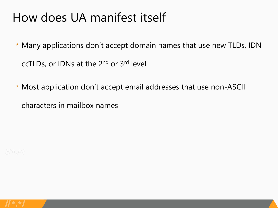### How does UA manifest itself

- \* Many applications don't accept domain names that use new TLDs, IDN ccTLDs, or IDNs at the 2nd or 3rd level
- \* Most application don't accept email addresses that use non-ASCII

characters in mailbox names

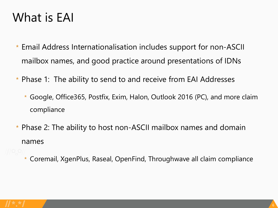### What is EAI

- \* Email Address Internationalisation includes support for non-ASCII mailbox names, and good practice around presentations of IDNs
- \* Phase 1: The ability to send to and receive from EAI Addresses
	- \* Google, Office365, Postfix, Exim, Halon, Outlook 2016 (PC), and more claim compliance
- \* Phase 2: The ability to host non-ASCII mailbox names and domain names
	- \* Coremail, XgenPlus, Raseal, OpenFind, Throughwave all claim compliance

6

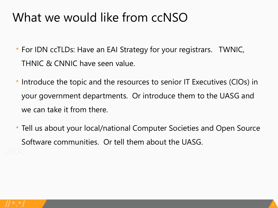### What we would like from ccNSO

- \* For IDN ccTLDs: Have an EAI Strategy for your registrars. TWNIC, THNIC & CNNIC have seen value.
- \* Introduce the topic and the resources to senior IT Executives (CIOs) in your government departments. Or introduce them to the UASG and we can take it from there.
- \* Tell us about your local/national Computer Societies and Open Source Software communities. Or tell them about the UASG.

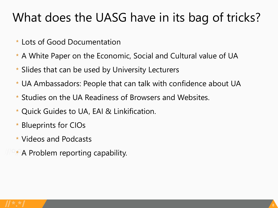### What does the UASG have in its bag of tricks?

- \* Lots of Good Documentation
- \* A White Paper on the Economic, Social and Cultural value of UA
- \* Slides that can be used by University Lecturers
- \* UA Ambassadors: People that can talk with confidence about UA
- \* Studies on the UA Readiness of Browsers and Websites.
- \* Quick Guides to UA, EAI & Linkification.
- \* Blueprints for CIOs
- \* Videos and Podcasts
- **A** Problem reporting capability.